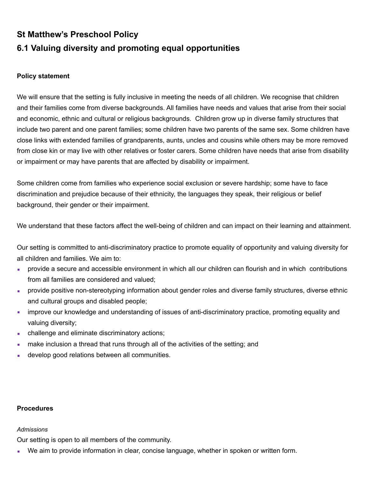# **St Matthew's Preschool Policy 6.1 Valuing diversity and promoting equal opportunities**

## **Policy statement**

We will ensure that the setting is fully inclusive in meeting the needs of all children. We recognise that children and their families come from diverse backgrounds. All families have needs and values that arise from their social and economic, ethnic and cultural or religious backgrounds. Children grow up in diverse family structures that include two parent and one parent families; some children have two parents of the same sex. Some children have close links with extended families of grandparents, aunts, uncles and cousins while others may be more removed from close kin or may live with other relatives or foster carers. Some children have needs that arise from disability or impairment or may have parents that are affected by disability or impairment.

Some children come from families who experience social exclusion or severe hardship; some have to face discrimination and prejudice because of their ethnicity, the languages they speak, their religious or belief background, their gender or their impairment.

We understand that these factors affect the well-being of children and can impact on their learning and attainment.

Our setting is committed to anti-discriminatory practice to promote equality of opportunity and valuing diversity for all children and families. We aim to:

- provide a secure and accessible environment in which all our children can flourish and in which contributions from all families are considered and valued;
- **provide positive non-stereotyping information about gender roles and diverse family structures, diverse ethnic** and cultural groups and disabled people;
- **EXECT** improve our knowledge and understanding of issues of anti-discriminatory practice, promoting equality and valuing diversity;
- **EXEC** challenge and eliminate discriminatory actions;
- **numake inclusion a thread that runs through all of the activities of the setting; and**
- **.** develop good relations between all communities.

#### **Procedures**

#### *Admissions*

Our setting is open to all members of the community.

**• We aim to provide information in clear, concise language, whether in spoken or written form.**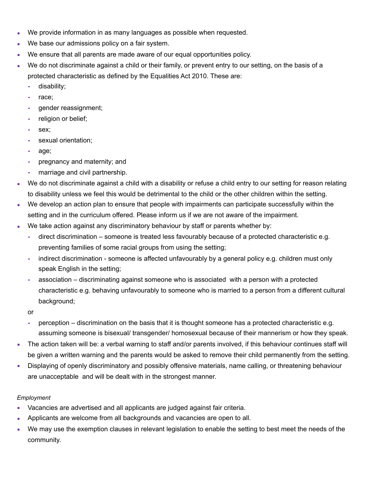- We provide information in as many languages as possible when requested.
- We base our admissions policy on a fair system.
- We ensure that all parents are made aware of our equal opportunities policy.
- We do not discriminate against a child or their family, or prevent entry to our setting, on the basis of a protected characteristic as defined by the Equalities Act 2010. These are:
	- **-** disability;
	- **-** race;
	- **-** gender reassignment;
	- **-** religion or belief;
	- **-** sex;
	- **-** sexual orientation;
	- **-** age;
	- **-** pregnancy and maternity; and
	- **-** marriage and civil partnership.
- We do not discriminate against a child with a disability or refuse a child entry to our setting for reason relating to disability unless we feel this would be detrimental to the child or the other children within the setting.
- We develop an action plan to ensure that people with impairments can participate successfully within the setting and in the curriculum offered. Please inform us if we are not aware of the impairment.
- We take action against any discriminatory behaviour by staff or parents whether by:
	- **-** direct discrimination someone is treated less favourably because of a protected characteristic e.g. preventing families of some racial groups from using the setting;
	- **-** indirect discrimination someone is affected unfavourably by a general policy e.g. children must only speak English in the setting;
	- **-** association discriminating against someone who is associated with a person with a protected characteristic e.g. behaving unfavourably to someone who is married to a person from a different cultural background;

or

- **-** perception discrimination on the basis that it is thought someone has a protected characteristic e.g. assuming someone is bisexual/ transgender/ homosexual because of their mannerism or how they speak.
- **The action taken will be: a verbal warning to staff and/or parents involved, if this behaviour continues staff will** be given a written warning and the parents would be asked to remove their child permanently from the setting.
- **EXED** Displaying of openly discriminatory and possibly offensive materials, name calling, or threatening behaviour are unacceptable and will be dealt with in the strongest manner.

# *Employment*

- Vacancies are advertised and all applicants are judged against fair criteria.
- **Applicants are welcome from all backgrounds and vacancies are open to all.**
- We may use the exemption clauses in relevant legislation to enable the setting to best meet the needs of the community.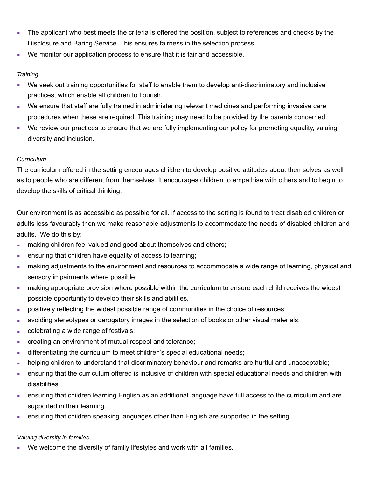- **The applicant who best meets the criteria is offered the position, subject to references and checks by the** Disclosure and Baring Service. This ensures fairness in the selection process.
- We monitor our application process to ensure that it is fair and accessible.

## *Training*

- We seek out training opportunities for staff to enable them to develop anti-discriminatory and inclusive practices, which enable all children to flourish.
- We ensure that staff are fully trained in administering relevant medicines and performing invasive care procedures when these are required. This training may need to be provided by the parents concerned.
- We review our practices to ensure that we are fully implementing our policy for promoting equality, valuing diversity and inclusion.

# *Curriculum*

The curriculum offered in the setting encourages children to develop positive attitudes about themselves as well as to people who are different from themselves. It encourages children to empathise with others and to begin to develop the skills of critical thinking.

Our environment is as accessible as possible for all. If access to the setting is found to treat disabled children or adults less favourably then we make reasonable adjustments to accommodate the needs of disabled children and adults. We do this by:

- **naking children feel valued and good about themselves and others;**
- **EXECT** ensuring that children have equality of access to learning;
- making adjustments to the environment and resources to accommodate a wide range of learning, physical and sensory impairments where possible;
- **making appropriate provision where possible within the curriculum to ensure each child receives the widest** possible opportunity to develop their skills and abilities.
- **•** positively reflecting the widest possible range of communities in the choice of resources;
- avoiding stereotypes or derogatory images in the selection of books or other visual materials;
- **celebrating a wide range of festivals;**
- **creating an environment of mutual respect and tolerance;**
- **EXED** differentiating the curriculum to meet children's special educational needs;
- helping children to understand that discriminatory behaviour and remarks are hurtful and unacceptable;
- **EXECT** ensuring that the curriculum offered is inclusive of children with special educational needs and children with disabilities;
- ensuring that children learning English as an additional language have full access to the curriculum and are supported in their learning.
- **EXECT** ensuring that children speaking languages other than English are supported in the setting.

# *Valuing diversity in families*

We welcome the diversity of family lifestyles and work with all families.